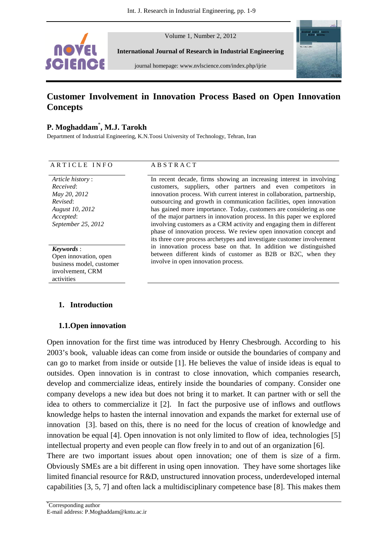

Volume 1, Number 2, 2012

**International Journal of Research in Industrial Engineering** 

journal homepage: www.nvlscience.com/index.php/ijrie



# **Customer Involvement in Innovation Process Based on Open Innovation Concepts**

# **P. Moghaddam**\* **, M.J. Tarokh**

Department of Industrial Engineering, K.N.Toosi University of Technology, Tehran, Iran

#### ARTICLE INFO ABSTRACT

*Article history* : *Received*: *May 20, 2012 Revised*: *August 10, 2012 Accepted*: *September 25, 2012*

*Keywords* : Open innovation, open business model, customer involvement, CRM activities

## **1. Introduction**

## **1.1.Open innovation**

Open innovation for the first time was introduced by Henry Chesbrough. According to his 2003's book, valuable ideas can come from inside or outside the boundaries of company and can go to market from inside or outside [1]. He believes the value of inside ideas is equal to outsides. Open innovation is in contrast to close innovation, which companies research, develop and commercialize ideas, entirely inside the boundaries of company. Consider one company develops a new idea but does not bring it to market. It can partner with or sell the idea to others to commercialize it [2]. In fact the purposive use of inflows and outflows knowledge helps to hasten the internal innovation and expands the market for external use of innovation [3]. based on this, there is no need for the locus of creation of knowledge and innovation be equal [4]. Open innovation is not only limited to flow of idea, technologies [5] intellectual property and even people can flow freely in to and out of an organization [6].

There are two important issues about open innovation; one of them is size of a firm. Obviously SMEs are a bit different in using open innovation. They have some shortages like limited financial resource for R&D, unstructured innovation process, underdeveloped internal capabilities [3, 5, 7] and often lack a multidisciplinary competence base [8]. This makes them

In recent decade, firms showing an increasing interest in involving customers, suppliers, other partners and even competitors in innovation process. With current interest in collaboration, partnership, outsourcing and growth in communication facilities, open innovation has gained more importance. Today, customers are considering as one of the major partners in innovation process. In this paper we explored involving customers as a CRM activity and engaging them in different phase of innovation process. We review open innovation concept and its three core process archetypes and investigate customer involvement in innovation process base on that. In addition we distinguished between different kinds of customer as B2B or B2C, when they involve in open innovation process.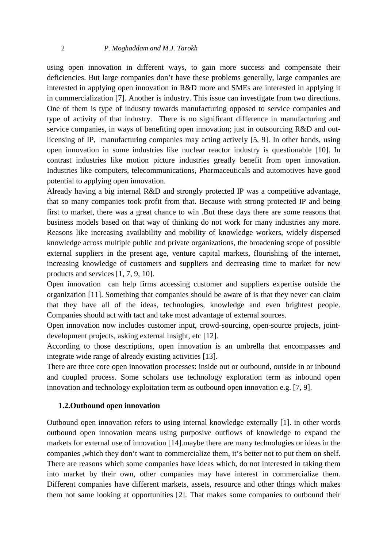#### 2 *P. Moghaddam and M.J. Tarokh*

using open innovation in different ways, to gain more success and compensate their deficiencies. But large companies don't have these problems generally, large companies are interested in applying open innovation in R&D more and SMEs are interested in applying it in commercialization [7]. Another is industry. This issue can investigate from two directions. One of them is type of industry towards manufacturing opposed to service companies and type of activity of that industry. There is no significant difference in manufacturing and service companies, in ways of benefiting open innovation; just in outsourcing R&D and outlicensing of IP, manufacturing companies may acting actively [5, 9]. In other hands, using open innovation in some industries like nuclear reactor industry is questionable [10]. In contrast industries like motion picture industries greatly benefit from open innovation. Industries like computers, telecommunications, Pharmaceuticals and automotives have good potential to applying open innovation.

Already having a big internal R&D and strongly protected IP was a competitive advantage, that so many companies took profit from that. Because with strong protected IP and being first to market, there was a great chance to win .But these days there are some reasons that business models based on that way of thinking do not work for many industries any more. Reasons like increasing availability and mobility of knowledge workers, widely dispersed knowledge across multiple public and private organizations, the broadening scope of possible external suppliers in the present age, venture capital markets, flourishing of the internet, increasing knowledge of customers and suppliers and decreasing time to market for new products and services [1, 7, 9, 10].

Open innovation can help firms accessing customer and suppliers expertise outside the organization [11]. Something that companies should be aware of is that they never can claim that they have all of the ideas, technologies, knowledge and even brightest people. Companies should act with tact and take most advantage of external sources.

Open innovation now includes customer input, crowd-sourcing, open-source projects, jointdevelopment projects, asking external insight, etc [12].

According to those descriptions, open innovation is an umbrella that encompasses and integrate wide range of already existing activities [13].

There are three core open innovation processes: inside out or outbound, outside in or inbound and coupled process. Some scholars use technology exploration term as inbound open innovation and technology exploitation term as outbound open innovation e.g. [7, 9].

#### **1.2.Outbound open innovation**

Outbound open innovation refers to using internal knowledge externally [1]. in other words outbound open innovation means using purposive outflows of knowledge to expand the markets for external use of innovation [14].maybe there are many technologies or ideas in the companies ,which they don't want to commercialize them, it's better not to put them on shelf. There are reasons which some companies have ideas which, do not interested in taking them into market by their own, other companies may have interest in commercialize them. Different companies have different markets, assets, resource and other things which makes them not same looking at opportunities [2]. That makes some companies to outbound their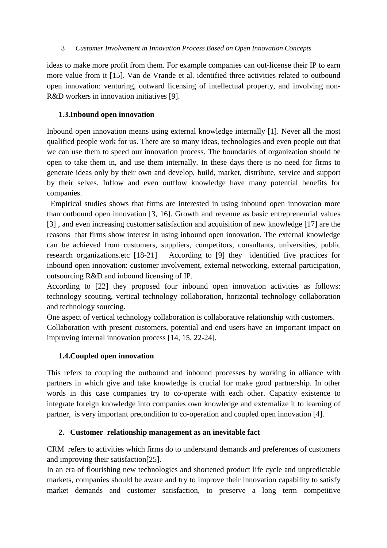ideas to make more profit from them. For example companies can out-license their IP to earn more value from it [15]. Van de Vrande et al. identified three activities related to outbound open innovation: venturing, outward licensing of intellectual property, and involving non-R&D workers in innovation initiatives [9].

# **1.3.Inbound open innovation**

Inbound open innovation means using external knowledge internally [1]. Never all the most qualified people work for us. There are so many ideas, technologies and even people out that we can use them to speed our innovation process. The boundaries of organization should be open to take them in, and use them internally. In these days there is no need for firms to generate ideas only by their own and develop, build, market, distribute, service and support by their selves. Inflow and even outflow knowledge have many potential benefits for companies.

 Empirical studies shows that firms are interested in using inbound open innovation more than outbound open innovation [3, 16]. Growth and revenue as basic entrepreneurial values [3] , and even increasing customer satisfaction and acquisition of new knowledge [17] are the reasons that firms show interest in using inbound open innovation. The external knowledge can be achieved from customers, suppliers, competitors, consultants, universities, public research organizations.etc [18-21] According to [9] they identified five practices for inbound open innovation: customer involvement, external networking, external participation, outsourcing R&D and inbound licensing of IP.

According to [22] they proposed four inbound open innovation activities as follows: technology scouting, vertical technology collaboration, horizontal technology collaboration and technology sourcing.

One aspect of vertical technology collaboration is collaborative relationship with customers. Collaboration with present customers, potential and end users have an important impact on improving internal innovation process [14, 15, 22-24].

# **1.4.Coupled open innovation**

This refers to coupling the outbound and inbound processes by working in alliance with partners in which give and take knowledge is crucial for make good partnership. In other words in this case companies try to co-operate with each other. Capacity existence to integrate foreign knowledge into companies own knowledge and externalize it to learning of partner, is very important precondition to co-operation and coupled open innovation [4].

# **2. Customer relationship management as an inevitable fact**

CRM refers to activities which firms do to understand demands and preferences of customers and improving their satisfaction[25].

In an era of flourishing new technologies and shortened product life cycle and unpredictable markets, companies should be aware and try to improve their innovation capability to satisfy market demands and customer satisfaction, to preserve a long term competitive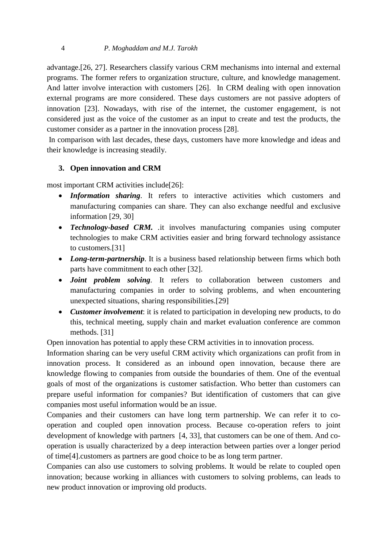advantage.[26, 27]. Researchers classify various CRM mechanisms into internal and external programs. The former refers to organization structure, culture, and knowledge management. And latter involve interaction with customers [26]. In CRM dealing with open innovation external programs are more considered. These days customers are not passive adopters of innovation [23]. Nowadays, with rise of the internet, the customer engagement, is not considered just as the voice of the customer as an input to create and test the products, the customer consider as a partner in the innovation process [28].

 In comparison with last decades, these days, customers have more knowledge and ideas and their knowledge is increasing steadily.

## **3. Open innovation and CRM**

most important CRM activities include[26]:

- *Information sharing*. It refers to interactive activities which customers and manufacturing companies can share. They can also exchange needful and exclusive information [29, 30]
- *Technology***-***based CRM. .*it involves manufacturing companies using computer technologies to make CRM activities easier and bring forward technology assistance to customers.[31]
- *Long-term-partnership*. It is a business based relationship between firms which both parts have commitment to each other [32].
- *Joint problem solving*. It refers to collaboration between customers and manufacturing companies in order to solving problems, and when encountering unexpected situations, sharing responsibilities.[29]
- *Customer involvement*: it is related to participation in developing new products, to do this, technical meeting, supply chain and market evaluation conference are common methods. [31]

Open innovation has potential to apply these CRM activities in to innovation process.

Information sharing can be very useful CRM activity which organizations can profit from in innovation process. It considered as an inbound open innovation, because there are knowledge flowing to companies from outside the boundaries of them. One of the eventual goals of most of the organizations is customer satisfaction. Who better than customers can prepare useful information for companies? But identification of customers that can give companies most useful information would be an issue.

Companies and their customers can have long term partnership. We can refer it to cooperation and coupled open innovation process. Because co-operation refers to joint development of knowledge with partners [4, 33], that customers can be one of them. And cooperation is usually characterized by a deep interaction between parties over a longer period of time[4].customers as partners are good choice to be as long term partner.

Companies can also use customers to solving problems. It would be relate to coupled open innovation; because working in alliances with customers to solving problems, can leads to new product innovation or improving old products.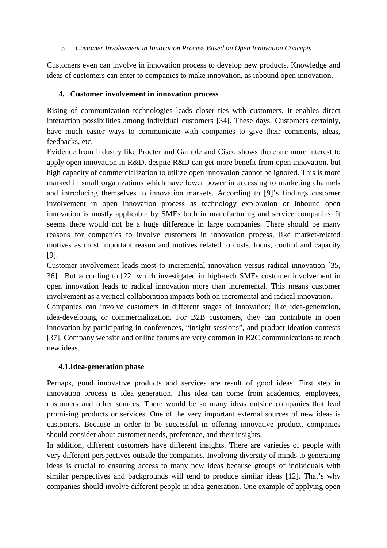Customers even can involve in innovation process to develop new products. Knowledge and ideas of customers can enter to companies to make innovation, as inbound open innovation.

## **4. Customer involvement in innovation process**

Rising of communication technologies leads closer ties with customers. It enables direct interaction possibilities among individual customers [34]. These days, Customers certainly, have much easier ways to communicate with companies to give their comments, ideas, feedbacks, etc.

Evidence from industry like Procter and Gamble and Cisco shows there are more interest to apply open innovation in R&D, despite R&D can get more benefit from open innovation, but high capacity of commercialization to utilize open innovation cannot be ignored. This is more marked in small organizations which have lower power in accessing to marketing channels and introducing themselves to innovation markets. According to [9]'s findings customer involvement in open innovation process as technology exploration or inbound open innovation is mostly applicable by SMEs both in manufacturing and service companies. It seems there would not be a huge difference in large companies. There should be many reasons for companies to involve customers in innovation process, like market-related motives as most important reason and motives related to costs, focus, control and capacity [9].

Customer involvement leads most to incremental innovation versus radical innovation [35, 36]. But according to [22] which investigated in high-tech SMEs customer involvement in open innovation leads to radical innovation more than incremental. This means customer involvement as a vertical collaboration impacts both on incremental and radical innovation.

Companies can involve customers in different stages of innovation; like idea-generation, idea-developing or commercialization. For B2B customers, they can contribute in open innovation by participating in conferences, "insight sessions", and product ideation contests [37]. Company website and online forums are very common in B2C communications to reach new ideas.

# **4.1.Idea-generation phase**

Perhaps, good innovative products and services are result of good ideas. First step in innovation process is idea generation. This idea can come from academics, employees, customers and other sources. There would be so many ideas outside companies that lead promising products or services. One of the very important external sources of new ideas is customers. Because in order to be successful in offering innovative product, companies should consider about customer needs, preference, and their insights.

In addition, different customers have different insights. There are varieties of people with very different perspectives outside the companies. Involving diversity of minds to generating ideas is crucial to ensuring access to many new ideas because groups of individuals with similar perspectives and backgrounds will tend to produce similar ideas [12]. That's why companies should involve different people in idea generation. One example of applying open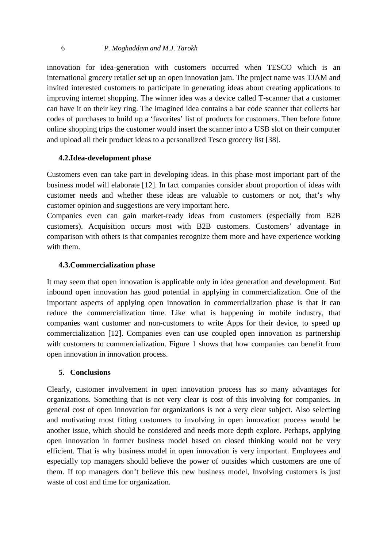#### 6 *P. Moghaddam and M.J. Tarokh*

innovation for idea-generation with customers occurred when TESCO which is an international grocery retailer set up an open innovation jam. The project name was TJAM and invited interested customers to participate in generating ideas about creating applications to improving internet shopping. The winner idea was a device called T-scanner that a customer can have it on their key ring. The imagined idea contains a bar code scanner that collects bar codes of purchases to build up a 'favorites' list of products for customers. Then before future online shopping trips the customer would insert the scanner into a USB slot on their computer and upload all their product ideas to a personalized Tesco grocery list [38].

## **4.2.Idea-development phase**

Customers even can take part in developing ideas. In this phase most important part of the business model will elaborate [12]. In fact companies consider about proportion of ideas with customer needs and whether these ideas are valuable to customers or not, that's why customer opinion and suggestions are very important here.

Companies even can gain market-ready ideas from customers (especially from B2B customers). Acquisition occurs most with B2B customers. Customers' advantage in comparison with others is that companies recognize them more and have experience working with them.

## **4.3.Commercialization phase**

It may seem that open innovation is applicable only in idea generation and development. But inbound open innovation has good potential in applying in commercialization. One of the important aspects of applying open innovation in commercialization phase is that it can reduce the commercialization time. Like what is happening in mobile industry, that companies want customer and non-customers to write Apps for their device, to speed up commercialization [12]. Companies even can use coupled open innovation as partnership with customers to commercialization. Figure 1 shows that how companies can benefit from open innovation in innovation process.

## **5. Conclusions**

Clearly, customer involvement in open innovation process has so many advantages for organizations. Something that is not very clear is cost of this involving for companies. In general cost of open innovation for organizations is not a very clear subject. Also selecting and motivating most fitting customers to involving in open innovation process would be another issue, which should be considered and needs more depth explore. Perhaps, applying open innovation in former business model based on closed thinking would not be very efficient. That is why business model in open innovation is very important. Employees and especially top managers should believe the power of outsides which customers are one of them. If top managers don't believe this new business model, Involving customers is just waste of cost and time for organization.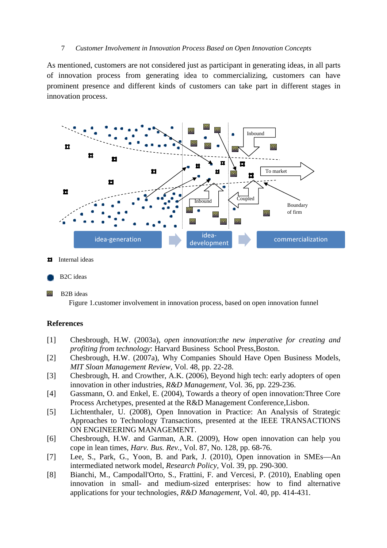As mentioned, customers are not considered just as participant in generating ideas, in all parts of innovation process from generating idea to commercializing, customers can have prominent presence and different kinds of customers can take part in different stages in innovation process.



- Internal ideas Ħ
- B2C ideas

回 B2B ideas

Figure 1.customer involvement in innovation process, based on open innovation funnel

## **References**

- [1] Chesbrough, H.W. (2003a), *open innovation:the new imperative for creating and profiting from technology*: Harvard Business School Press,Boston.
- [2] Chesbrough, H.W. (2007a), Why Companies Should Have Open Business Models, *MIT Sloan Management Review,* Vol. 48, pp. 22-28.
- [3] Chesbrough, H. and Crowther, A.K. (2006), Beyond high tech: early adopters of open innovation in other industries, *R&D Management,* Vol. 36, pp. 229-236.
- [4] Gassmann, O. and Enkel, E. (2004), Towards a theory of open innovation:Three Core Process Archetypes, presented at the R&D Management Conference,Lisbon.
- [5] Lichtenthaler, U. (2008), Open Innovation in Practice: An Analysis of Strategic Approaches to Technology Transactions, presented at the IEEE TRANSACTIONS ON ENGINEERING MANAGEMENT.
- [6] Chesbrough, H.W. and Garman, A.R. (2009), How open innovation can help you cope in lean times, *Harv. Bus. Rev.,* Vol. 87, No. 128, pp. 68-76.
- [7] Lee, S., Park, G., Yoon, B. and Park, J. (2010), Open innovation in SMEs—An intermediated network model, *Research Policy,* Vol. 39, pp. 290-300.
- [8] Bianchi, M., Campodall'Orto, S., Frattini, F. and Vercesi, P. (2010), Enabling open innovation in small- and medium-sized enterprises: how to find alternative applications for your technologies, *R&D Management,* Vol. 40, pp. 414-431.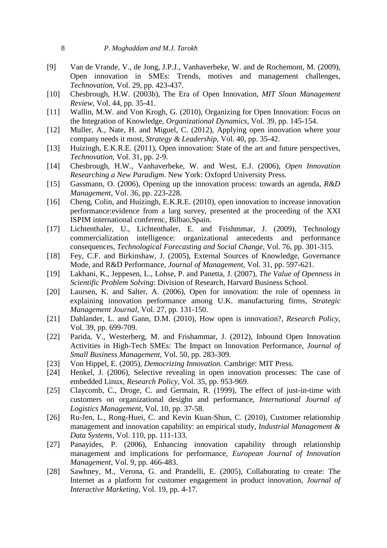- [9] Van de Vrande, V., de Jong, J.P.J., Vanhaverbeke, W. and de Rochemont, M. (2009), Open innovation in SMEs: Trends, motives and management challenges, *Technovation,* Vol. 29, pp. 423-437.
- [10] Chesbrough, H.W. (2003b), The Era of Open Innovation, *MIT Sloan Management Review,* Vol. 44, pp. 35-41.
- [11] Wallin, M.W. and Von Krogh, G. (2010), Organizing for Open Innovation: Focus on the Integration of Knowledge, *Organizational Dynamics,* Vol. 39, pp. 145-154.
- [12] Muller, A., Nate, H. and Miguel, C. (2012), Applying open innovation where your company needs it most, *Strategy & Leadership,* Vol. 40, pp. 35-42.
- [13] Huizingh, E.K.R.E. (2011), Open innovation: State of the art and future perspectives, *Technovation,* Vol. 31, pp. 2-9.
- [14] Chesbrough, H.W., Vanhaverbeke, W. and West, E.J. (2006), *Open Innovation Researching a New Paradigm*. New York: Oxfoprd University Press.
- [15] Gassmann, O. (2006), Opening up the innovation process: towards an agenda, *R&D Management,* Vol. 36, pp. 223-228.
- [16] Cheng, Colin, and Huizingh, E.K.R.E. (2010), open innovation to increase innovation performance:evidence from a larg survey, presented at the proceeding of the XXI ISPIM international conferenc, Bilbao,Spain.
- [17] Lichtenthaler, U., Lichtenthaler, E. and Frishmmar, J. (2009), Technology commercialization intelligence: organizational antecedents and performance consequences, *Technological Forecasting and Social Change,* Vol. 76, pp. 301-315.
- [18] Fey, C.F. and Birkinshaw, J. (2005), External Sources of Knowledge, Governance Mode, and R&D Performance, *Journal of Management,* Vol. 31, pp. 597-621.
- [19] Lakhani, K., Jeppesen, L., Lohse, P. and Panetta, J. (2007), *The Value of Openness in Scientific Problem Solving*: Division of Research, Harvard Business School.
- [20] Laursen, K. and Salter, A. (2006), Open for innovation: the role of openness in explaining innovation performance among U.K. manufacturing firms, *Strategic Management Journal,* Vol. 27, pp. 131-150.
- [21] Dahlander, L. and Gann, D.M. (2010), How open is innovation?, *Research Policy,*  Vol. 39, pp. 699-709.
- [22] Parida, V., Westerberg, M. and Frishammar, J. (2012), Inbound Open Innovation Activities in High-Tech SMEs: The Impact on Innovation Performance, *Journal of Small Business Management,* Vol. 50, pp. 283-309.
- [23] Von Hippel, E. (2005), *Democrizing Innovation*. Cambrige: MIT Press.
- [24] Henkel, J. (2006), Selective revealing in open innovation processes: The case of embedded Linux, *Research Policy,* Vol. 35, pp. 953-969.
- [25] Claycomb, C., Droge, C. and Germain, R. (1999), The effect of just-in-time with customers on organizational desighn and performance, *International Journal of Logistics Management,* Vol. 10, pp. 37-58.
- [26] Ru-Jen, L., Rong-Huei, C. and Kevin Kuan-Shun, C. (2010), Customer relationship management and innovation capability: an empirical study, *Industrial Management & Data Systems,* Vol. 110, pp. 111-133.
- [27] Panayides, P. (2006), Enhancing innovation capability through relationship management and implications for performance, *European Journal of Innovation Management,* Vol. 9, pp. 466-483.
- [28] Sawhney, M., Verona, G. and Prandelli, E. (2005), Collaborating to create: The Internet as a platform for customer engagement in product innovation, *Journal of Interactive Marketing,* Vol. 19, pp. 4-17.